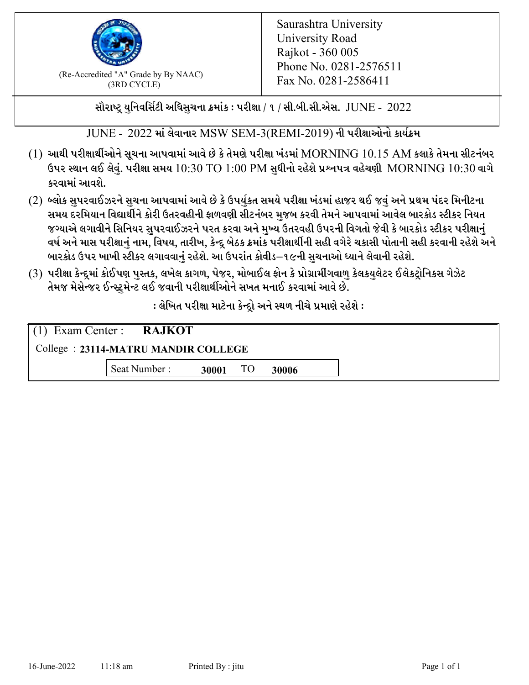

 $F_{\text{R}}$  (Re-Accredited "A" Grade by By NAAC)<br>(3PD CVCLE)<br> $F_{\text{R}}$  No. 0281-2586411 (3RD CYCLE)

સૌરાષ્ટ્ર યુનિવર્સિટી અધિસુચના ક્રમાંક : પરીક્ષા / ૧ / સી.બી.સી.એસ.  $\,$  JUNE -  $\,2022$ 

 $JUNE - 2022$  માં લેવાનાર  $MSW$   $SEM-3(REMI-2019)$  ની પરીક્ષાઓનો કાર્યક્રમ

- $(1)$  આથી પરીક્ષાર્થીઓને સૂચના આપવામાં આવે છે કે તેમણે પરીક્ષા ખંડમાં  $\operatorname{MORNING}$   $10.15$   $\operatorname{AM}$  કલાકે તેમના સીટનંબર ઉપર સ્થાન લઈ લેવું. પરીક્ષા સમય  $10:30 \text{ TO } 1:00 \text{ PM}$  સુધીનો રહેશે પ્રશ્નપત્ર વહેચણી  $\text{MORNING } 10:30$  વાગે કરવામાં આવશે.
- (2) બ્લોક સુપરવાઈઝરને સુચના આપવામાં આવે છે કે ઉપર્યુકત સમયે પરીક્ષા ખંડમાં હાજર થઈ જવું અને પ્રથમ પંદર મિનીટના સમય દરમિયાન વિદ્યાર્થીને કોરી ઉતરવહીની ફાળવણી સીટનંબર મજબ કરવી તેમને આપવામાં આવેલ બારકોડ સ્ટીકર નિયત જગ્યાએ લગાવીને સિનિયર સુપરવાઈઝરને પરત કરવા અને મુખ્ય ઉતરવહી ઉપરની વિગતો જેવી કે બારકોડ સ્ટીકર પરીક્ષ<u>ાન</u>ં વર્ષ અને માસ પરીક્ષાનું નામ, વિષય, તારીખ, કેન્દ્ર બેઠક ક્રમાંક પરીક્ષાર્થીની સહી વગેરે ચકાસી પોતાની સહી કરવાની રહેશે અને બારકોડ ઉપર ખાખી સ્ટીકર લગાવવાનં રહેશે. આ ઉપરાંત કોવીડ–૧૯ની સચનાઓ ધ્યાને લેવાની રહેશે.
- (3) પરીક્ષા કેન્દ્રમાં કોઈપણ પુસ્તક, લખેલ કાગળ, પેજર, મોબાઈલ ફોન કે પ્રોગ્રામીંગવાળુ કેલકયુલેટર ઈલેકટ્રોનિકસ ગેઝેટ તેમજ મેસેન્જર ઈન્સ્ટમેન્ટ લઈ જવાની પરીક્ષાર્થીઓને સખત મનાઈ કરવામાં આવે છે.

: લેખિત પરીક્ષા માટેના કેન્દ્દો અને સ્થળ નીચે પ્રમાણે રહેશે :

|                                     | $(1)$ Exam Center : <b>RAJKOT</b> |       |    |       |  |  |
|-------------------------------------|-----------------------------------|-------|----|-------|--|--|
| College: 23114-MATRU MANDIR COLLEGE |                                   |       |    |       |  |  |
|                                     | Seat Number:                      | 30001 | TO | 30006 |  |  |